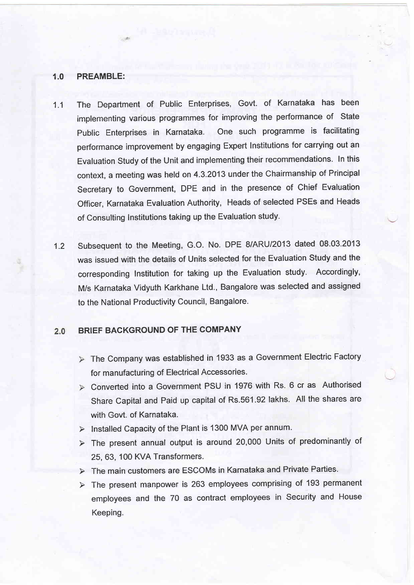### 1.0 PREAMBLE:

 $-4$ 

- 1.1 The Department of Public Enterprises, Govt. of Karnataka has been implementing various programmes for improving the performance of State Public Enterprises in Karnataka. One such programme is facilitating performance improvement by engaging Expert lnstitutions for carrying out an Evaluation Study of the Unit and implementing their recommendations. In this context, a meeting was held on 4.3.2013 under the Chairmanship of Principal Secretary to Government, DPE and in the presence of Chief Evaluation Officer, Karnataka Evaluation Authority, Heads of selected PSEs and Heads of Consulting lnstitutions taking up the Evaluation study.
- Subsequent to the Meeting, G.O. No. DPE 8/ARU12O13 dated 08.03.2013 was issued with the details of Units selected for the Evaluation Study and the corresponding Institution for taking up the Evaluation study. Accordingly, M/s Karnataka Vidyuth Karkhane Ltd., Bangalore was selected and assigned to the National Productivity Council, Bangalore. 1.2

#### BRIEF BACKGROUND OF THE COMPANY  $2.0$

- > The Company was established in 1933 as a Government Electric Factory for manufacturing of Electrical Accessories.
- Converted into a Government PSU in 1976 with Rs. 6 cr as Authorised Share Capital and Paid up capital of Rs.561.92 lakhs. All the shares are with Govt. of Karnataka.
- $\triangleright$  Installed Capacity of the Plant is 1300 MVA per annum.
- The present annual output is around 20,000 Units of predominantly of 25, 63, 100 KVA Transformers.
- The main customers are ESCOMs in Karnataka and Private Parties.
- $\triangleright$  The present manpower is 263 employees comprising of 193 permanent employees and the 70 as contract employees in Security and House Keeping.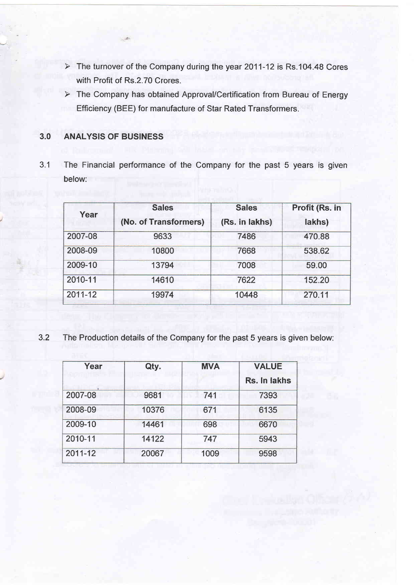- > The turnover of the Company during the year 2011-12 is Rs.104.48 Cores with Profit of Rs.2.70 Crores.
- > The Company has obtained Approval/Certification from Bureau of Energy Efficiency (BEE) for manufacture of Star Rated Transformers.

# 3.0 ANALYSIS OF BUSINESS

3.1 The Financial performance of the Company for the past 5 years is given below:

| Year    | <b>Sales</b><br>(No. of Transformers) | <b>Sales</b><br>(Rs. in lakhs) | Profit (Rs. in<br>lakhs) |
|---------|---------------------------------------|--------------------------------|--------------------------|
| 2007-08 | 9633                                  | 7486                           | 470.88                   |
| 2008-09 | 10800                                 | 7668                           | 538.62                   |
| 2009-10 | 13794                                 | 7008                           | 59.00                    |
| 2010-11 | 14610                                 | 7622                           | 152.20                   |
| 2011-12 | 19974                                 | 10448                          | 270.11                   |

3.2 The Production details of the Company for the past 5 years is given below:

| Year    | Qty.  | <b>MVA</b> | <b>VALUE</b> |  |
|---------|-------|------------|--------------|--|
|         |       |            | Rs. In lakhs |  |
| 2007-08 | 9681  | 741        | 7393         |  |
| 2008-09 | 10376 | 671        | 6135         |  |
| 2009-10 | 14461 | 698        | 6670         |  |
| 2010-11 | 14122 | 747        | 5943         |  |
| 2011-12 | 20067 | 1009       | 9598         |  |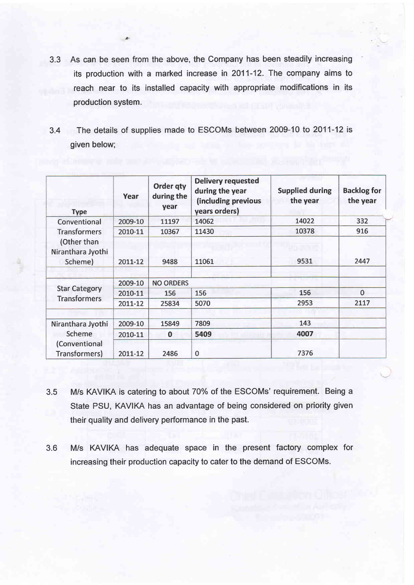3.3 As can be seen from the above, the Company has been steadily increasing its production with a marked increase in 2011-12. The company aims to reach near to its installed capacity with appropriate modifications in its production system.

 $\mathbb{R}$ 

3.4 The details of supplies made to ESCOMs between 2009-10 to 2011-12 is given below;

| <b>Type</b>                                                                        | Year    | Order qty<br>during the<br>year | <b>Delivery requested</b><br>during the year<br>(including previous<br>years orders) | <b>Supplied during</b><br>the year | <b>Backlog for</b><br>the year |
|------------------------------------------------------------------------------------|---------|---------------------------------|--------------------------------------------------------------------------------------|------------------------------------|--------------------------------|
| Conventional<br><b>Transformers</b><br>(Other than<br>Niranthara Jyothi<br>Scheme) | 2009-10 | 11197                           | 14062                                                                                | 14022                              | 332                            |
|                                                                                    | 2010-11 | 10367                           | 11430                                                                                | 10378                              | 916                            |
|                                                                                    | 2011-12 | 9488                            | 11061                                                                                | 20 J.J. J.J.<br>9531               | 2447                           |
| <b>Star Category</b><br><b>Transformers</b>                                        | 2009-10 | <b>NO ORDERS</b>                |                                                                                      |                                    |                                |
|                                                                                    | 2010-11 | 156                             | 156                                                                                  | 156                                | $\bf{0}$                       |
|                                                                                    | 2011-12 | 25834                           | 5070                                                                                 | 2953                               | 2117                           |
| Niranthara Jyothi<br>Scheme                                                        | 2009-10 | 15849                           | 7809                                                                                 | 143                                |                                |
|                                                                                    | 2010-11 | $\mathbf 0$                     | 5409                                                                                 | 4007                               |                                |
| (Conventional<br>Transformers)                                                     | 2011-12 | 2486                            | $\mathbf 0$                                                                          | 7376                               |                                |

- 3.5 M/s KAVIKA is catering to about 70% of the ESCOMs' requirement. Being <sup>a</sup> State PSU, KAVIKA has an advantage of being considered on priority given their quality and delivery performance in the past.
- 3.6 M/s KAVIKA has adequate space in the present factory complex for increasing their production capacity to cater to the demand of ESCOMS.